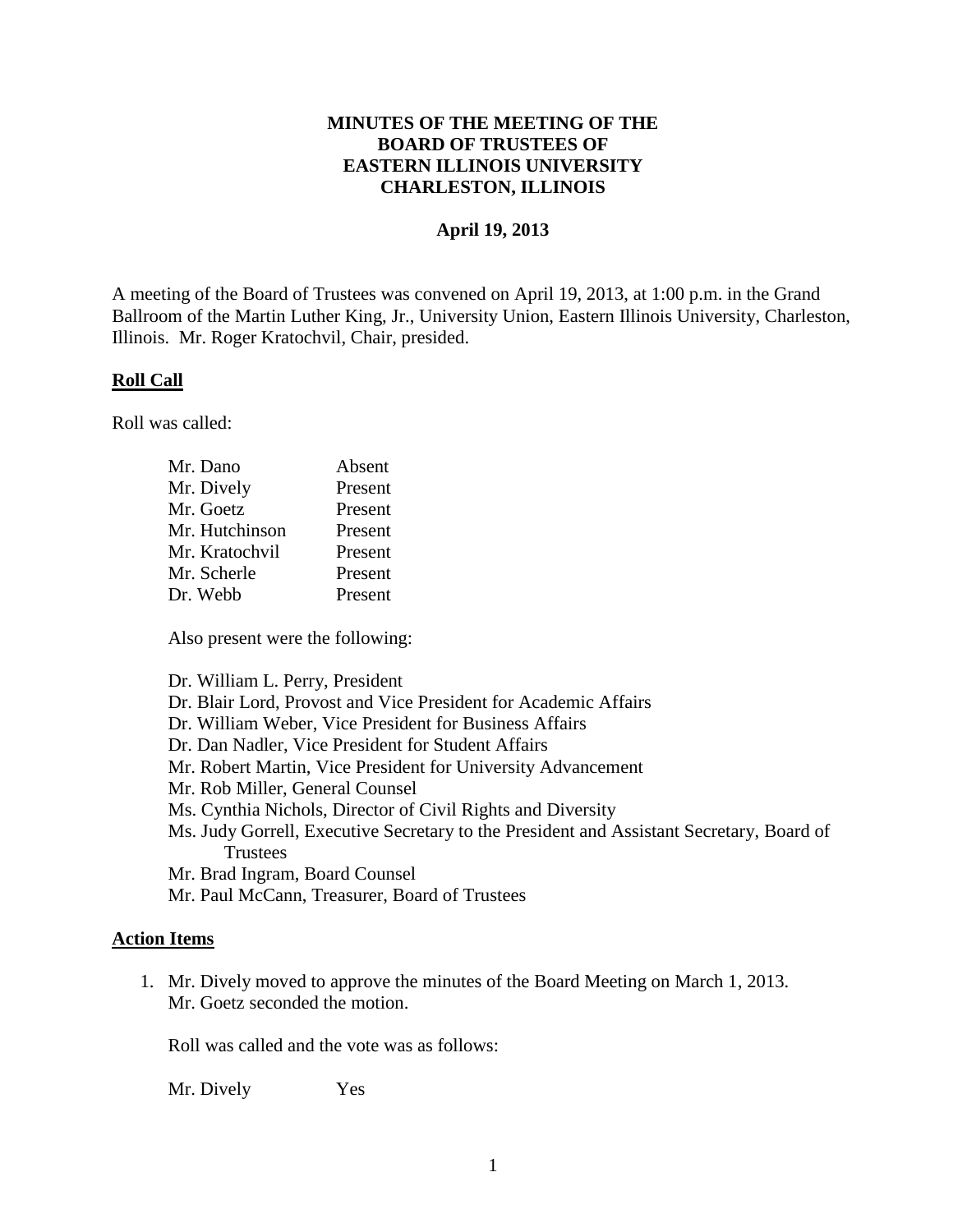## **MINUTES OF THE MEETING OF THE BOARD OF TRUSTEES OF EASTERN ILLINOIS UNIVERSITY CHARLESTON, ILLINOIS**

### **April 19, 2013**

A meeting of the Board of Trustees was convened on April 19, 2013, at 1:00 p.m. in the Grand Ballroom of the Martin Luther King, Jr., University Union, Eastern Illinois University, Charleston, Illinois. Mr. Roger Kratochvil, Chair, presided.

### **Roll Call**

Roll was called:

| Mr. Dano       | Absent  |
|----------------|---------|
| Mr. Dively     | Present |
| Mr. Goetz      | Present |
| Mr. Hutchinson | Present |
| Mr. Kratochvil | Present |
| Mr. Scherle    | Present |
| Dr. Webb       | Present |

Also present were the following:

Dr. William L. Perry, President

Dr. Blair Lord, Provost and Vice President for Academic Affairs

Dr. William Weber, Vice President for Business Affairs

Dr. Dan Nadler, Vice President for Student Affairs

Mr. Robert Martin, Vice President for University Advancement

Mr. Rob Miller, General Counsel

Ms. Cynthia Nichols, Director of Civil Rights and Diversity

Ms. Judy Gorrell, Executive Secretary to the President and Assistant Secretary, Board of Trustees

Mr. Brad Ingram, Board Counsel

Mr. Paul McCann, Treasurer, Board of Trustees

#### **Action Items**

1. Mr. Dively moved to approve the minutes of the Board Meeting on March 1, 2013. Mr. Goetz seconded the motion.

Roll was called and the vote was as follows:

Mr. Dively Yes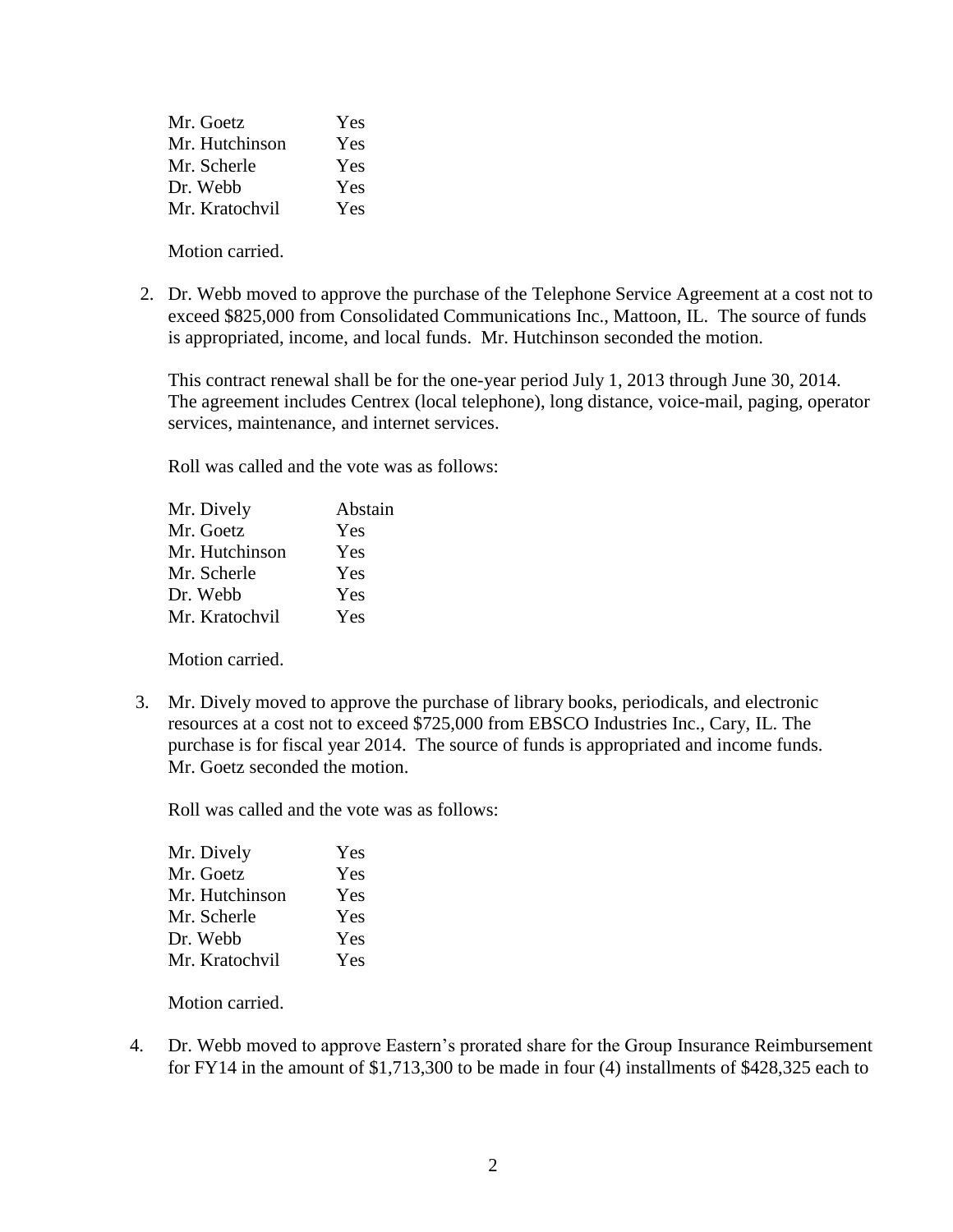| Mr. Goetz      | Yes |
|----------------|-----|
| Mr. Hutchinson | Yes |
| Mr. Scherle    | Yes |
| Dr. Webb       | Yes |
| Mr. Kratochvil | Yes |

Motion carried.

2. Dr. Webb moved to approve the purchase of the Telephone Service Agreement at a cost not to exceed \$825,000 from Consolidated Communications Inc., Mattoon, IL. The source of funds is appropriated, income, and local funds. Mr. Hutchinson seconded the motion.

This contract renewal shall be for the one-year period July 1, 2013 through June 30, 2014. The agreement includes Centrex (local telephone), long distance, voice-mail, paging, operator services, maintenance, and internet services.

Roll was called and the vote was as follows:

Motion carried.

 3. Mr. Dively moved to approve the purchase of library books, periodicals, and electronic resources at a cost not to exceed \$725,000 from EBSCO Industries Inc., Cary, IL. The purchase is for fiscal year 2014. The source of funds is appropriated and income funds. Mr. Goetz seconded the motion.

Roll was called and the vote was as follows:

| Yes |
|-----|
| Yes |
| Yes |
| Yes |
| Yes |
| Yes |
|     |

Motion carried.

4. Dr. Webb moved to approve Eastern's prorated share for the Group Insurance Reimbursement for FY14 in the amount of \$1,713,300 to be made in four (4) installments of \$428,325 each to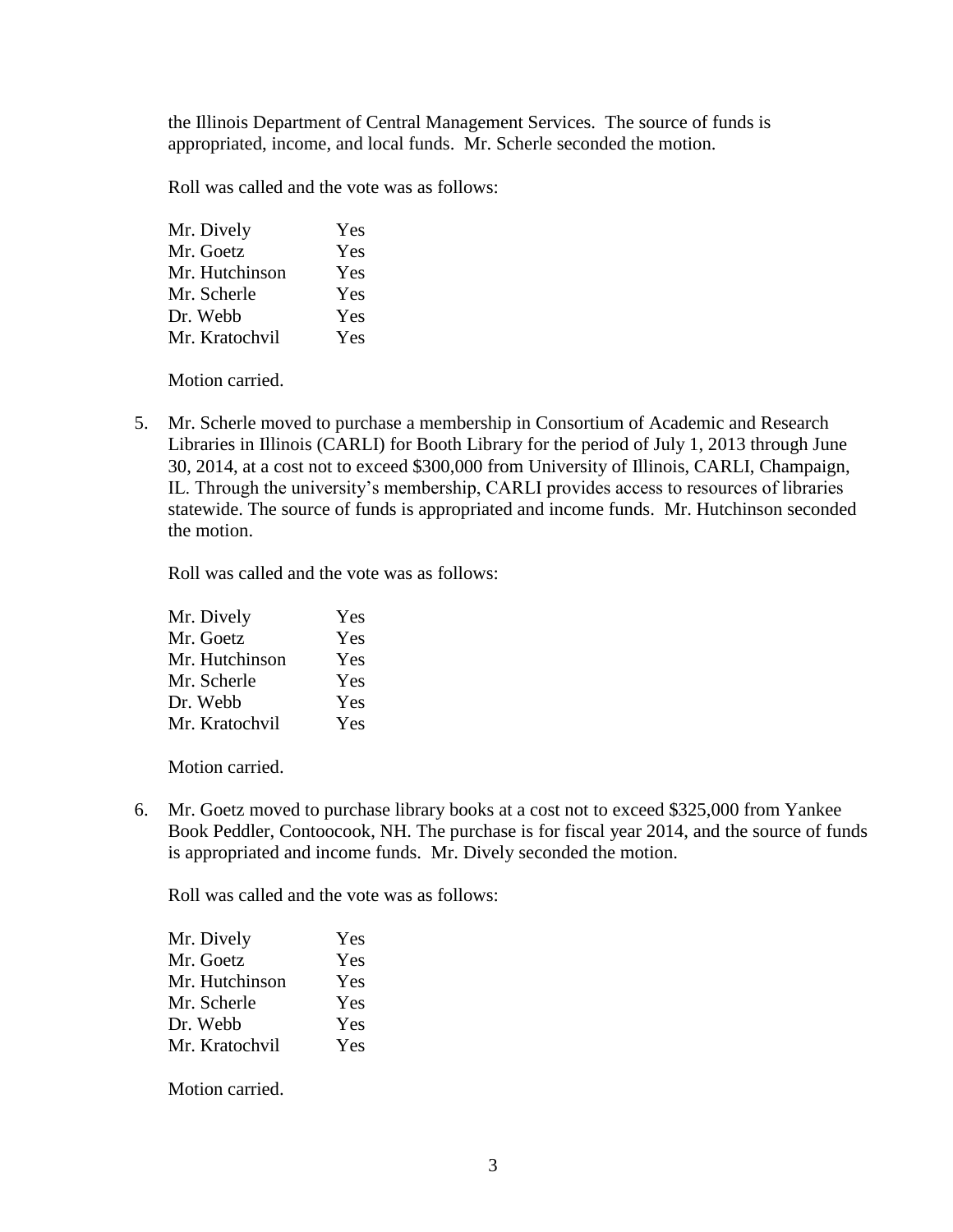the Illinois Department of Central Management Services. The source of funds is appropriated, income, and local funds. Mr. Scherle seconded the motion.

Roll was called and the vote was as follows:

| Mr. Dively     | Yes |
|----------------|-----|
| Mr. Goetz      | Yes |
| Mr. Hutchinson | Yes |
| Mr. Scherle    | Yes |
| Dr. Webb       | Yes |
| Mr. Kratochvil | Yes |

Motion carried.

5. Mr. Scherle moved to purchase a membership in Consortium of Academic and Research Libraries in Illinois (CARLI) for Booth Library for the period of July 1, 2013 through June 30, 2014, at a cost not to exceed \$300,000 from University of Illinois, CARLI, Champaign, IL. Through the university's membership, CARLI provides access to resources of libraries statewide. The source of funds is appropriated and income funds. Mr. Hutchinson seconded the motion.

Roll was called and the vote was as follows:

| Mr. Dively     | Yes |
|----------------|-----|
| Mr. Goetz      | Yes |
| Mr. Hutchinson | Yes |
| Mr. Scherle    | Yes |
| Dr. Webb       | Yes |
| Mr. Kratochvil | Yes |

Motion carried.

6. Mr. Goetz moved to purchase library books at a cost not to exceed \$325,000 from Yankee Book Peddler, Contoocook, NH. The purchase is for fiscal year 2014, and the source of funds is appropriated and income funds. Mr. Dively seconded the motion.

Roll was called and the vote was as follows:

| Mr. Dively     | Yes |
|----------------|-----|
| Mr. Goetz      | Yes |
| Mr. Hutchinson | Yes |
| Mr. Scherle    | Yes |
| Dr. Webb       | Yes |
| Mr. Kratochvil | Yes |

Motion carried.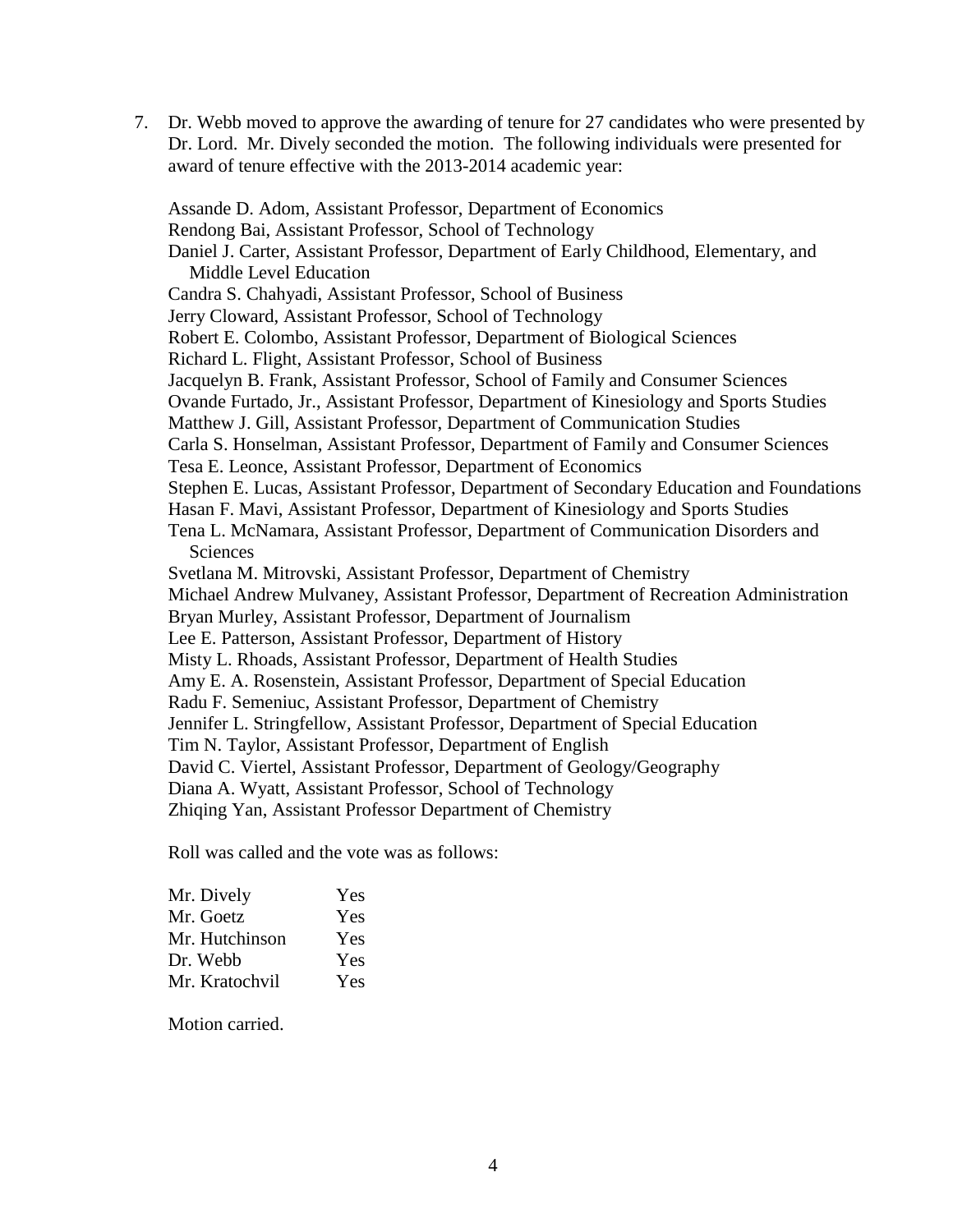7. Dr. Webb moved to approve the awarding of tenure for 27 candidates who were presented by Dr. Lord. Mr. Dively seconded the motion. The following individuals were presented for award of tenure effective with the 2013-2014 academic year:

Assande D. Adom, Assistant Professor, Department of Economics Rendong Bai, Assistant Professor, School of Technology Daniel J. Carter, Assistant Professor, Department of Early Childhood, Elementary, and Middle Level Education Candra S. Chahyadi, Assistant Professor, School of Business Jerry Cloward, Assistant Professor, School of Technology Robert E. Colombo, Assistant Professor, Department of Biological Sciences Richard L. Flight, Assistant Professor, School of Business Jacquelyn B. Frank, Assistant Professor, School of Family and Consumer Sciences Ovande Furtado, Jr., Assistant Professor, Department of Kinesiology and Sports Studies Matthew J. Gill, Assistant Professor, Department of Communication Studies Carla S. Honselman, Assistant Professor, Department of Family and Consumer Sciences Tesa E. Leonce, Assistant Professor, Department of Economics Stephen E. Lucas, Assistant Professor, Department of Secondary Education and Foundations Hasan F. Mavi, Assistant Professor, Department of Kinesiology and Sports Studies Tena L. McNamara, Assistant Professor, Department of Communication Disorders and **Sciences** Svetlana M. Mitrovski, Assistant Professor, Department of Chemistry Michael Andrew Mulvaney, Assistant Professor, Department of Recreation Administration Bryan Murley, Assistant Professor, Department of Journalism Lee E. Patterson, Assistant Professor, Department of History Misty L. Rhoads, Assistant Professor, Department of Health Studies Amy E. A. Rosenstein, Assistant Professor, Department of Special Education Radu F. Semeniuc, Assistant Professor, Department of Chemistry Jennifer L. Stringfellow, Assistant Professor, Department of Special Education Tim N. Taylor, Assistant Professor, Department of English David C. Viertel, Assistant Professor, Department of Geology/Geography Diana A. Wyatt, Assistant Professor, School of Technology Zhiqing Yan, Assistant Professor Department of Chemistry

Roll was called and the vote was as follows:

| Mr. Dively     | Yes |
|----------------|-----|
| Mr. Goetz      | Yes |
| Mr. Hutchinson | Yes |
| Dr. Webb       | Yes |
| Mr. Kratochvil | Yes |

Motion carried.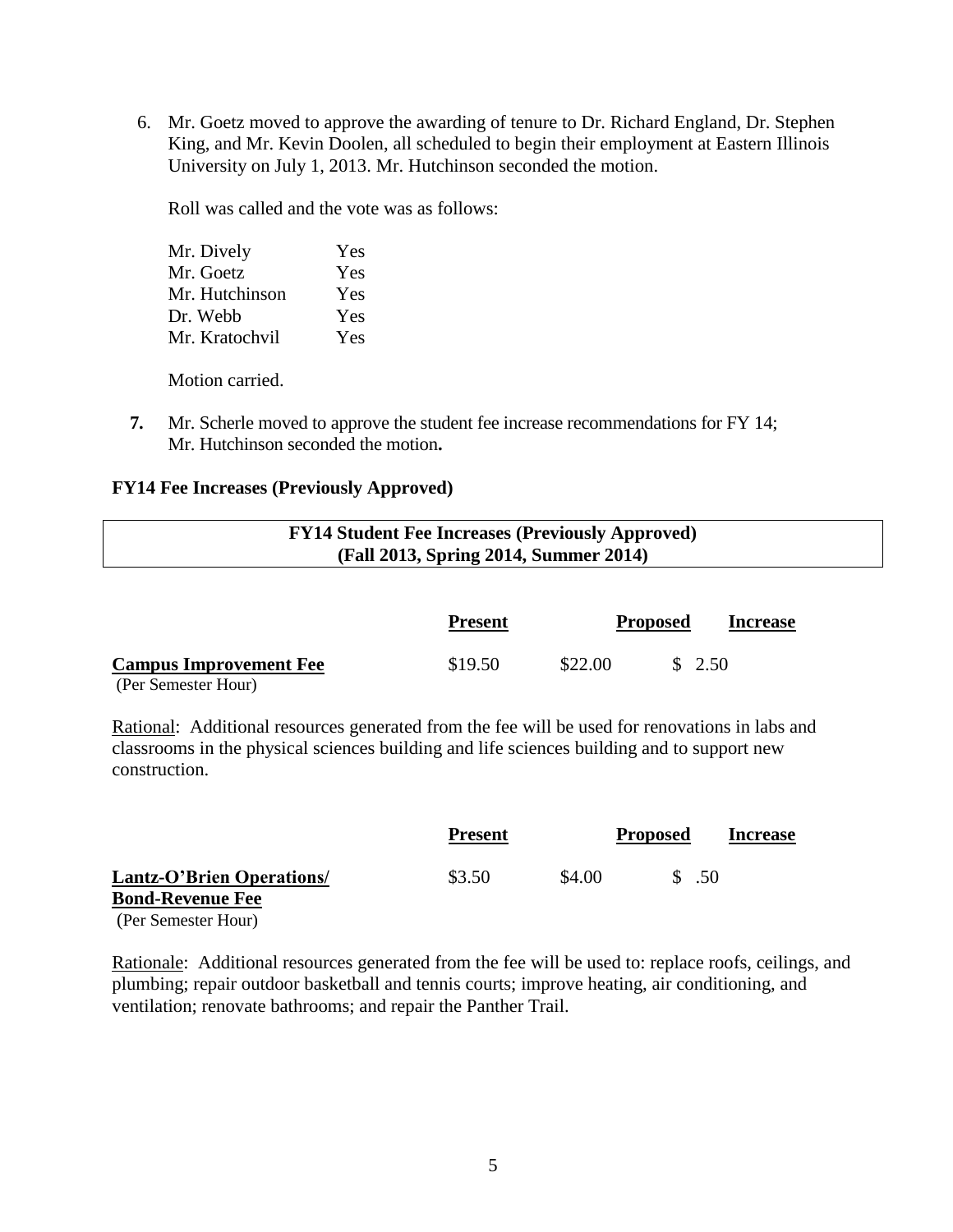6. Mr. Goetz moved to approve the awarding of tenure to Dr. Richard England, Dr. Stephen King, and Mr. Kevin Doolen, all scheduled to begin their employment at Eastern Illinois University on July 1, 2013. Mr. Hutchinson seconded the motion.

Roll was called and the vote was as follows:

| Mr. Dively     | Yes |
|----------------|-----|
| Mr. Goetz      | Yes |
| Mr. Hutchinson | Yes |
| Dr. Webb       | Yes |
| Mr. Kratochvil | Yes |

Motion carried.

**7.** Mr. Scherle moved to approve the student fee increase recommendations for FY 14; Mr. Hutchinson seconded the motion**.**

### **FY14 Fee Increases (Previously Approved)**

| <b>FY14 Student Fee Increases (Previously Approved)</b> |  |
|---------------------------------------------------------|--|
| (Fall 2013, Spring 2014, Summer 2014)                   |  |

|                               | <b>Present</b> |         | <b>Proposed</b> | <b>Increase</b> |
|-------------------------------|----------------|---------|-----------------|-----------------|
| <b>Campus Improvement Fee</b> | \$19.50        | \$22.00 | \$2.50          |                 |
| (Per Semester Hour)           |                |         |                 |                 |

Rational: Additional resources generated from the fee will be used for renovations in labs and classrooms in the physical sciences building and life sciences building and to support new construction.

|                                                             | <b>Present</b> |        | <b>Proposed</b> | Increase |
|-------------------------------------------------------------|----------------|--------|-----------------|----------|
| <b>Lantz-O'Brien Operations/</b><br><b>Bond-Revenue Fee</b> | \$3.50         | \$4.00 | .50             |          |
| (Per Semester Hour)                                         |                |        |                 |          |

Rationale: Additional resources generated from the fee will be used to: replace roofs, ceilings, and plumbing; repair outdoor basketball and tennis courts; improve heating, air conditioning, and ventilation; renovate bathrooms; and repair the Panther Trail.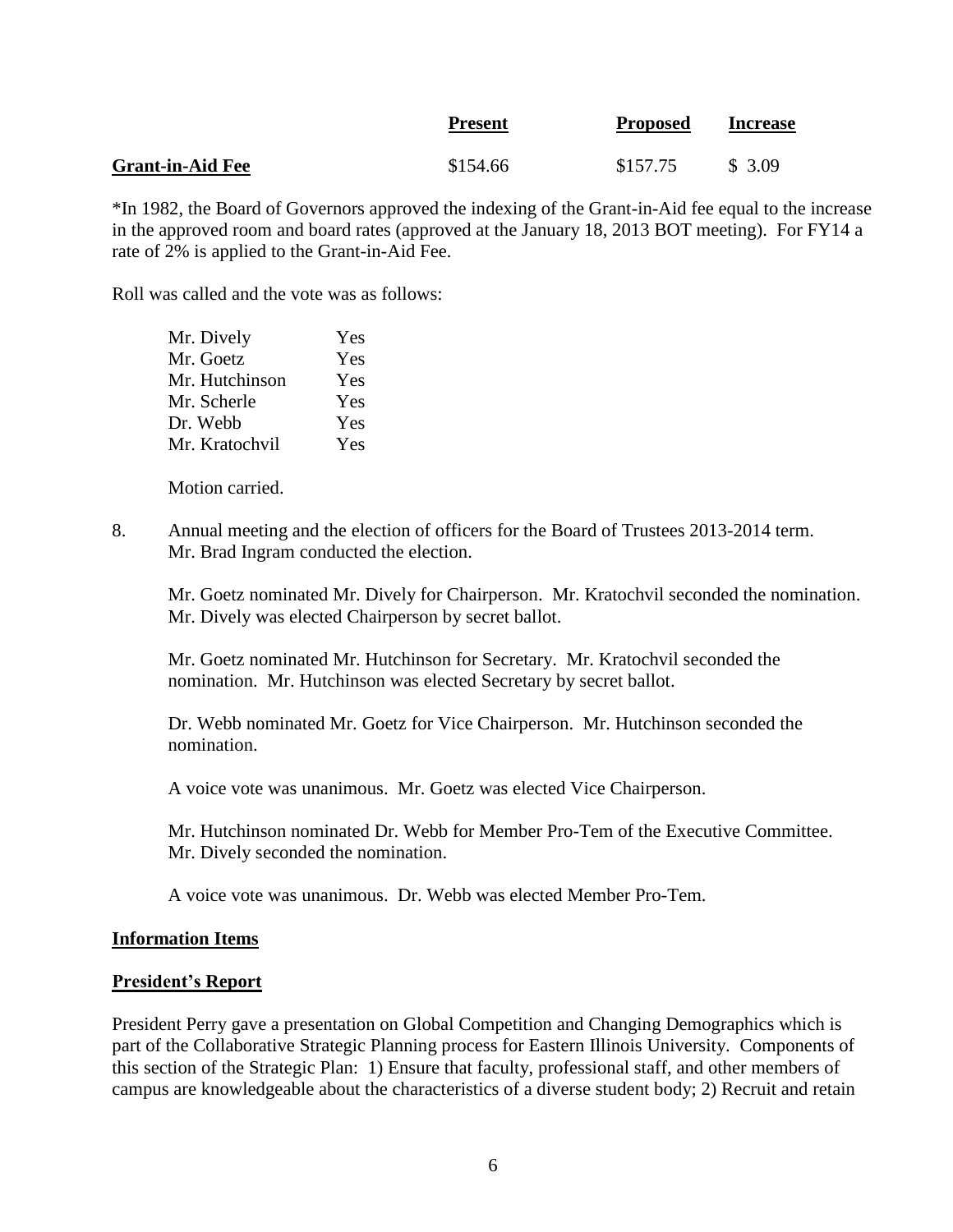|                         | <b>Present</b> | <b>Proposed</b> | <b>Increase</b> |
|-------------------------|----------------|-----------------|-----------------|
| <b>Grant-in-Aid Fee</b> | \$154.66       | \$157.75        | \$3.09          |

\*In 1982, the Board of Governors approved the indexing of the Grant-in-Aid fee equal to the increase in the approved room and board rates (approved at the January 18, 2013 BOT meeting). For FY14 a rate of 2% is applied to the Grant-in-Aid Fee.

Roll was called and the vote was as follows:

| Yes |
|-----|
| Yes |
| Yes |
| Yes |
| Yes |
| Yes |
|     |

Motion carried.

8. Annual meeting and the election of officers for the Board of Trustees 2013-2014 term. Mr. Brad Ingram conducted the election.

Mr. Goetz nominated Mr. Dively for Chairperson. Mr. Kratochvil seconded the nomination. Mr. Dively was elected Chairperson by secret ballot.

Mr. Goetz nominated Mr. Hutchinson for Secretary. Mr. Kratochvil seconded the nomination. Mr. Hutchinson was elected Secretary by secret ballot.

Dr. Webb nominated Mr. Goetz for Vice Chairperson. Mr. Hutchinson seconded the nomination.

A voice vote was unanimous. Mr. Goetz was elected Vice Chairperson.

Mr. Hutchinson nominated Dr. Webb for Member Pro-Tem of the Executive Committee. Mr. Dively seconded the nomination.

A voice vote was unanimous. Dr. Webb was elected Member Pro-Tem.

#### **Information Items**

### **President's Report**

President Perry gave a presentation on Global Competition and Changing Demographics which is part of the Collaborative Strategic Planning process for Eastern Illinois University. Components of this section of the Strategic Plan: 1) Ensure that faculty, professional staff, and other members of campus are knowledgeable about the characteristics of a diverse student body; 2) Recruit and retain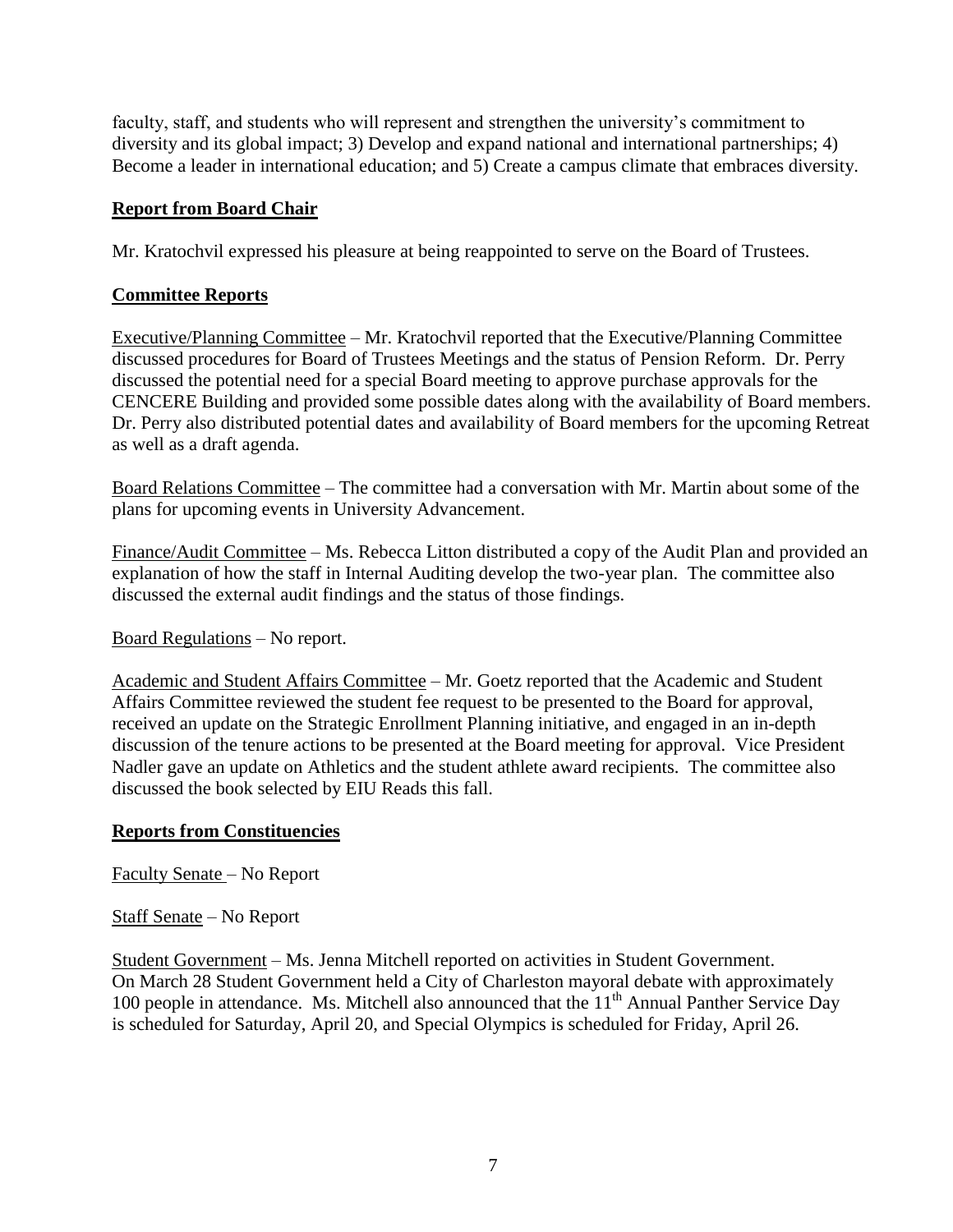faculty, staff, and students who will represent and strengthen the university's commitment to diversity and its global impact; 3) Develop and expand national and international partnerships; 4) Become a leader in international education; and 5) Create a campus climate that embraces diversity.

# **Report from Board Chair**

Mr. Kratochvil expressed his pleasure at being reappointed to serve on the Board of Trustees.

# **Committee Reports**

Executive/Planning Committee – Mr. Kratochvil reported that the Executive/Planning Committee discussed procedures for Board of Trustees Meetings and the status of Pension Reform. Dr. Perry discussed the potential need for a special Board meeting to approve purchase approvals for the CENCERE Building and provided some possible dates along with the availability of Board members. Dr. Perry also distributed potential dates and availability of Board members for the upcoming Retreat as well as a draft agenda.

Board Relations Committee – The committee had a conversation with Mr. Martin about some of the plans for upcoming events in University Advancement.

Finance/Audit Committee – Ms. Rebecca Litton distributed a copy of the Audit Plan and provided an explanation of how the staff in Internal Auditing develop the two-year plan. The committee also discussed the external audit findings and the status of those findings.

Board Regulations – No report.

Academic and Student Affairs Committee – Mr. Goetz reported that the Academic and Student Affairs Committee reviewed the student fee request to be presented to the Board for approval, received an update on the Strategic Enrollment Planning initiative, and engaged in an in-depth discussion of the tenure actions to be presented at the Board meeting for approval. Vice President Nadler gave an update on Athletics and the student athlete award recipients. The committee also discussed the book selected by EIU Reads this fall.

# **Reports from Constituencies**

Faculty Senate – No Report

Staff Senate – No Report

Student Government – Ms. Jenna Mitchell reported on activities in Student Government. On March 28 Student Government held a City of Charleston mayoral debate with approximately 100 people in attendance. Ms. Mitchell also announced that the  $11<sup>th</sup>$  Annual Panther Service Day is scheduled for Saturday, April 20, and Special Olympics is scheduled for Friday, April 26.